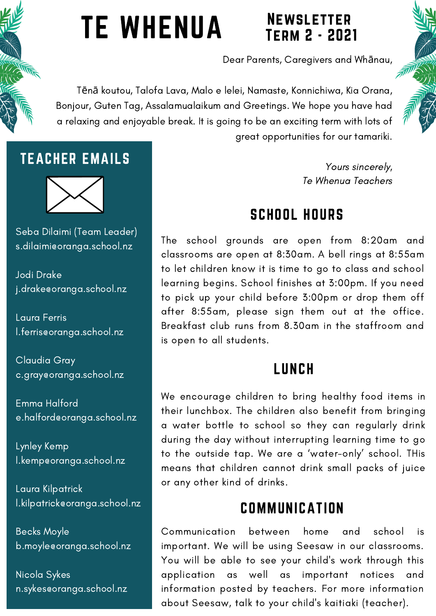# TE WHENUA

## **NEWSLETTER** Term 2 - 2021

Dear Parents, Caregivers and Whānau,

Tēnā koutou, Talofa Lava, Malo e lelei, Namaste, Konnichiwa, Kia Orana, Bonjour, Guten Tag, Assalamualaikum and Greetings. We hope you have had a relaxing and enjoyable break. It is going to be an exciting term with lots of great opportunities for our tamariki.

> Yours sincerely, Te Whenua Teachers

## SCHOOL HOURS

The school grounds are open from 8:20am and classrooms are open at 8:30am. A bell rings at 8:55am to let children know it is time to go to class and school learning begins. School finishes at 3:00pm. If you need to pick up your child before 3:00pm or drop them off after 8:55am, please sign them out at the office. Breakfast club runs from 8.30am in the staffroom and is open to all students.

## LUNCH

We encourage children to bring healthy food items in their lunchbox. The children also benefit from bringing a water bottle to school so they can regularly drink during the day without interrupting learning time to go to the outside tap. We are a 'water-only' school. THis means that children cannot drink small packs of juice or any other kind of drinks.

## **COMMUNICATION**

Communication between home and school is important. We will be using Seesaw in our classrooms. You will be able to see your child's work through this application as well as important notices and information posted by teachers. For more information about Seesaw, talk to your child's kaitiaki (teacher).

## TEACHER EMAILS



Seba Dilaimi (Team Leader) s.dilaimi@oranga.school.nz

Jodi Drake j.drake@oranga.school.nz

Laura Ferris l.ferris@oranga.school.nz

Claudia Gray c.gray@oranga.school.nz

Emma Halford e.halford@oranga.school.nz

Lynley Kemp l.kemp@oranga.school.nz

Laura Kilpatrick l.kilpatrick@oranga.school.nz

Becks Moyle b.moyle@oranga.school.nz

Nicola Sykes n.sykes@oranga.school.nz